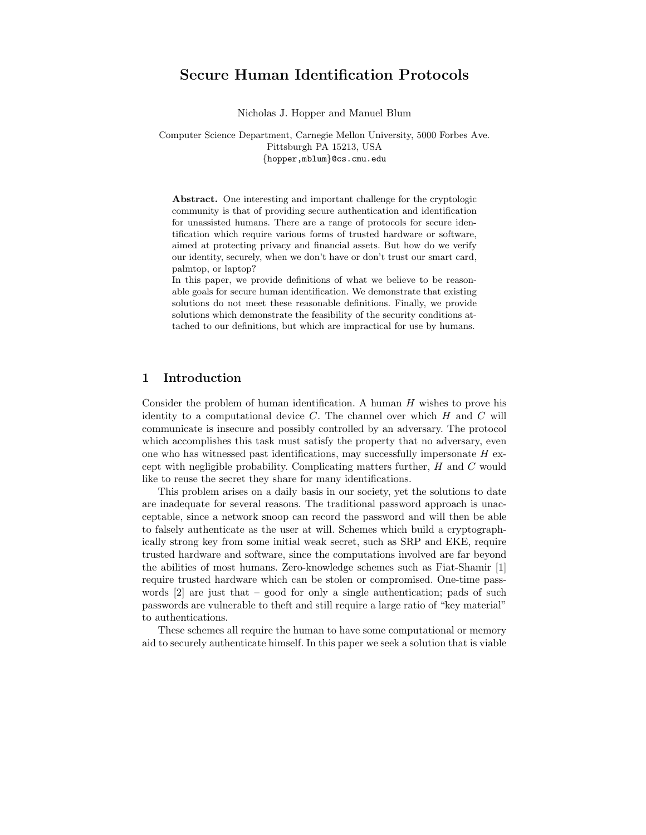# Secure Human Identification Protocols

Nicholas J. Hopper and Manuel Blum

Computer Science Department, Carnegie Mellon University, 5000 Forbes Ave. Pittsburgh PA 15213, USA {hopper,mblum}@cs.cmu.edu

Abstract. One interesting and important challenge for the cryptologic community is that of providing secure authentication and identification for unassisted humans. There are a range of protocols for secure identification which require various forms of trusted hardware or software, aimed at protecting privacy and financial assets. But how do we verify our identity, securely, when we don't have or don't trust our smart card, palmtop, or laptop?

In this paper, we provide definitions of what we believe to be reasonable goals for secure human identification. We demonstrate that existing solutions do not meet these reasonable definitions. Finally, we provide solutions which demonstrate the feasibility of the security conditions attached to our definitions, but which are impractical for use by humans.

## 1 Introduction

Consider the problem of human identification. A human H wishes to prove his identity to a computational device  $C$ . The channel over which  $H$  and  $C$  will communicate is insecure and possibly controlled by an adversary. The protocol which accomplishes this task must satisfy the property that no adversary, even one who has witnessed past identifications, may successfully impersonate H except with negligible probability. Complicating matters further, H and C would like to reuse the secret they share for many identifications.

This problem arises on a daily basis in our society, yet the solutions to date are inadequate for several reasons. The traditional password approach is unacceptable, since a network snoop can record the password and will then be able to falsely authenticate as the user at will. Schemes which build a cryptographically strong key from some initial weak secret, such as SRP and EKE, require trusted hardware and software, since the computations involved are far beyond the abilities of most humans. Zero-knowledge schemes such as Fiat-Shamir [1] require trusted hardware which can be stolen or compromised. One-time passwords  $[2]$  are just that – good for only a single authentication; pads of such passwords are vulnerable to theft and still require a large ratio of "key material" to authentications.

These schemes all require the human to have some computational or memory aid to securely authenticate himself. In this paper we seek a solution that is viable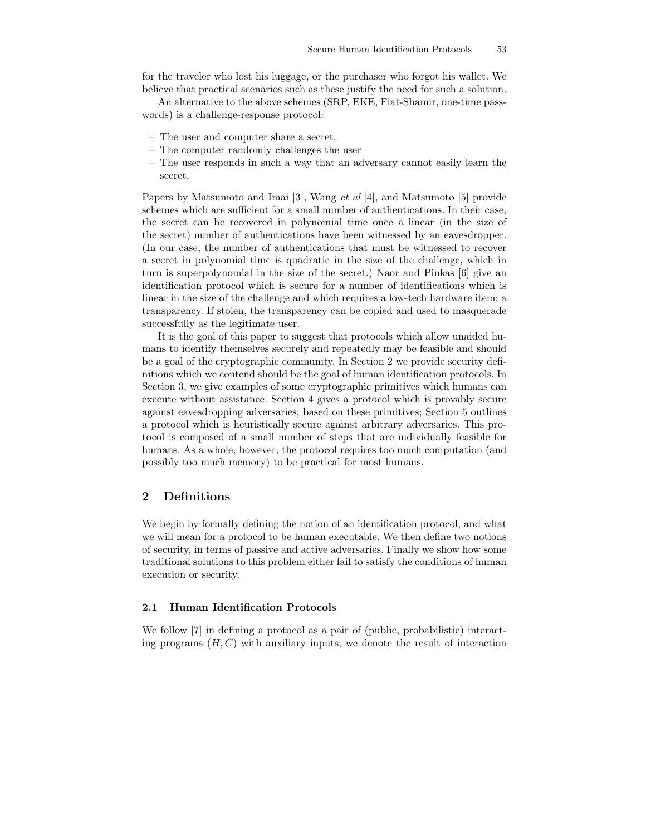for the traveler who lost his luggage, or the purchaser who forgot his wallet. We believe that practical scenarios such as these justify the need for such a solution.

An alternative to the above schemes (SRP, EKE, Fiat-Shamir, one-time passwords) is a challenge-response protocol:

- The user and computer share a secret.
- The computer randomly challenges the user
- The user responds in such a way that an adversary cannot easily learn the secret.

Papers by Matsumoto and Imai [3], Wang et al [4], and Matsumoto [5] provide schemes which are sufficient for a small number of authentications. In their case, the secret can be recovered in polynomial time once a linear (in the size of the secret) number of authentications have been witnessed by an eavesdropper. (In our case, the number of authentications that must be witnessed to recover a secret in polynomial time is quadratic in the size of the challenge, which in turn is superpolynomial in the size of the secret.) Naor and Pinkas [6] give an identification protocol which is secure for a number of identifications which is linear in the size of the challenge and which requires a low-tech hardware item: a transparency. If stolen, the transparency can be copied and used to masquerade successfully as the legitimate user.

It is the goal of this paper to suggest that protocols which allow unaided humans to identify themselves securely and repeatedly may be feasible and should be a goal of the cryptographic community. In Section 2 we provide security definitions which we contend should be the goal of human identification protocols. In Section 3, we give examples of some cryptographic primitives which humans can execute without assistance. Section 4 gives a protocol which is provably secure against eavesdropping adversaries, based on these primitives; Section 5 outlines a protocol which is heuristically secure against arbitrary adversaries. This protocol is composed of a small number of steps that are individually feasible for humans. As a whole, however, the protocol requires too much computation (and possibly too much memory) to be practical for most humans.

# 2 Definitions

We begin by formally defining the notion of an identification protocol, and what we will mean for a protocol to be human executable. We then define two notions of security, in terms of passive and active adversaries. Finally we show how some traditional solutions to this problem either fail to satisfy the conditions of human execution or security.

## 2.1 Human Identification Protocols

We follow [7] in defining a protocol as a pair of (public, probabilistic) interacting programs  $(H, C)$  with auxiliary inputs; we denote the result of interaction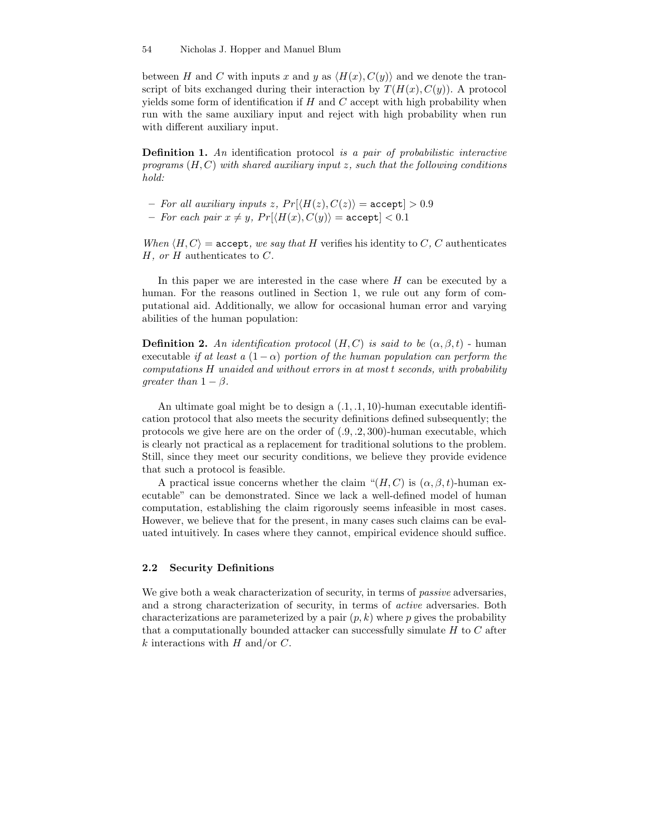between H and C with inputs x and y as  $\langle H(x), C(y) \rangle$  and we denote the transcript of bits exchanged during their interaction by  $T(H(x), C(y))$ . A protocol yields some form of identification if  $H$  and  $C$  accept with high probability when run with the same auxiliary input and reject with high probability when run with different auxiliary input.

Definition 1. An identification protocol is a pair of probabilistic interactive programs  $(H, C)$  with shared auxiliary input z, such that the following conditions hold:

- For all auxiliary inputs z,  $Pr(\langle H(z), C(z) \rangle = \text{accept}] > 0.9$
- For each pair  $x \neq y$ ,  $Pr(\langle H(x), C(y) \rangle) = \text{accept}] < 0.1$

When  $\langle H, C \rangle$  = accept, we say that H verifies his identity to C, C authenticates  $H$ , or  $H$  authenticates to  $C$ .

In this paper we are interested in the case where H can be executed by a human. For the reasons outlined in Section 1, we rule out any form of computational aid. Additionally, we allow for occasional human error and varying abilities of the human population:

**Definition 2.** An identification protocol  $(H, C)$  is said to be  $(\alpha, \beta, t)$  - human executable if at least a  $(1 - \alpha)$  portion of the human population can perform the computations H unaided and without errors in at most t seconds, with probability qreater than  $1 - \beta$ .

An ultimate goal might be to design a (.1, .1, 10)-human executable identification protocol that also meets the security definitions defined subsequently; the protocols we give here are on the order of  $(0.9, 0.2, 300)$ -human executable, which is clearly not practical as a replacement for traditional solutions to the problem. Still, since they meet our security conditions, we believe they provide evidence that such a protocol is feasible.

A practical issue concerns whether the claim " $(H, C)$  is  $(\alpha, \beta, t)$ -human executable" can be demonstrated. Since we lack a well-defined model of human computation, establishing the claim rigorously seems infeasible in most cases. However, we believe that for the present, in many cases such claims can be evaluated intuitively. In cases where they cannot, empirical evidence should suffice.

### 2.2 Security Definitions

We give both a weak characterization of security, in terms of *passive* adversaries, and a strong characterization of security, in terms of active adversaries. Both characterizations are parameterized by a pair  $(p, k)$  where p gives the probability that a computationally bounded attacker can successfully simulate  $H$  to  $C$  after k interactions with  $H$  and/or  $C$ .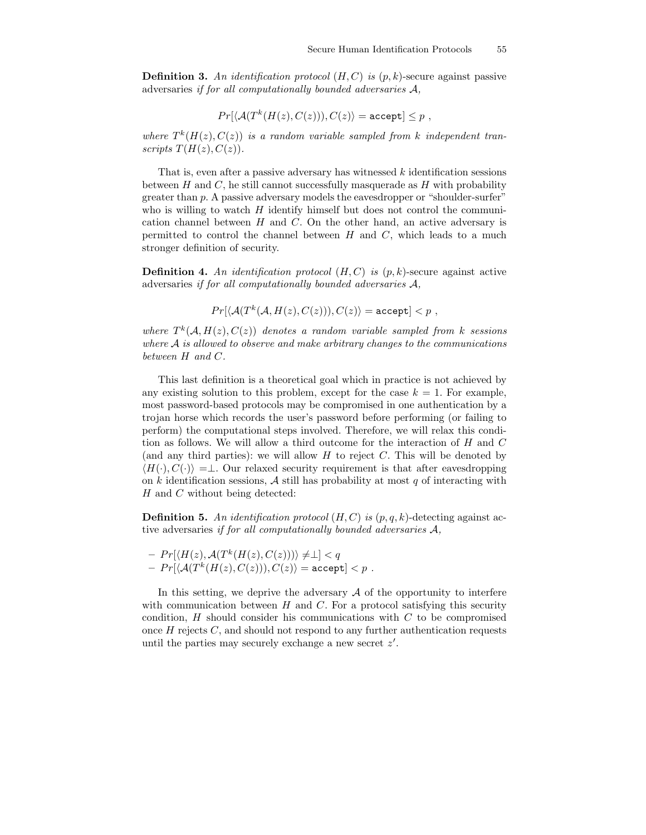**Definition 3.** An identification protocol  $(H, C)$  is  $(p, k)$ -secure against passive adversaries if for all computationally bounded adversaries A,

$$
Pr[\langle A(T^k(H(z), C(z))), C(z) \rangle = \text{accept}] \leq p,
$$

where  $T^{k}(H(z), C(z))$  is a random variable sampled from k independent transcripts  $T(H(z), C(z))$ .

That is, even after a passive adversary has witnessed k identification sessions between  $H$  and  $C$ , he still cannot successfully masquerade as  $H$  with probability greater than  $p$ . A passive adversary models the eavesdropper or "shoulder-surfer" who is willing to watch  $H$  identify himself but does not control the communication channel between  $H$  and  $C$ . On the other hand, an active adversary is permitted to control the channel between  $H$  and  $C$ , which leads to a much stronger definition of security.

**Definition 4.** An identification protocol  $(H, C)$  is  $(p, k)$ -secure against active adversaries if for all computationally bounded adversaries A,

$$
Pr[\langle \mathcal{A}(T^k(\mathcal{A},H(z),C(z))), C(z) \rangle = \texttt{accept}] < p,
$$

where  $T^k(A, H(z), C(z))$  denotes a random variable sampled from k sessions where A is allowed to observe and make arbitrary changes to the communications between H and C.

This last definition is a theoretical goal which in practice is not achieved by any existing solution to this problem, except for the case  $k = 1$ . For example, most password-based protocols may be compromised in one authentication by a trojan horse which records the user's password before performing (or failing to perform) the computational steps involved. Therefore, we will relax this condition as follows. We will allow a third outcome for the interaction of H and C (and any third parties): we will allow  $H$  to reject  $C$ . This will be denoted by  $\langle H(\cdot), C(\cdot) \rangle = \perp$ . Our relaxed security requirement is that after eavesdropping on k identification sessions,  $\mathcal A$  still has probability at most q of interacting with  $H$  and  $C$  without being detected:

**Definition 5.** An identification protocol  $(H, C)$  is  $(p, q, k)$ -detecting against active adversaries if for all computationally bounded adversaries A,

 $- Pr[\langle H(z), \mathcal{A}(T^k(H(z), C(z))) \rangle \neq \perp] < q$  $-\ Pr[\langle {\cal A}(T^k(H(z),C(z))), C(z)\rangle = {\tt accept}] < p \, \, .$ 

In this setting, we deprive the adversary  $A$  of the opportunity to interfere with communication between  $H$  and  $C$ . For a protocol satisfying this security condition,  $H$  should consider his communications with  $C$  to be compromised once  $H$  rejects  $C$ , and should not respond to any further authentication requests until the parties may securely exchange a new secret  $z'$ .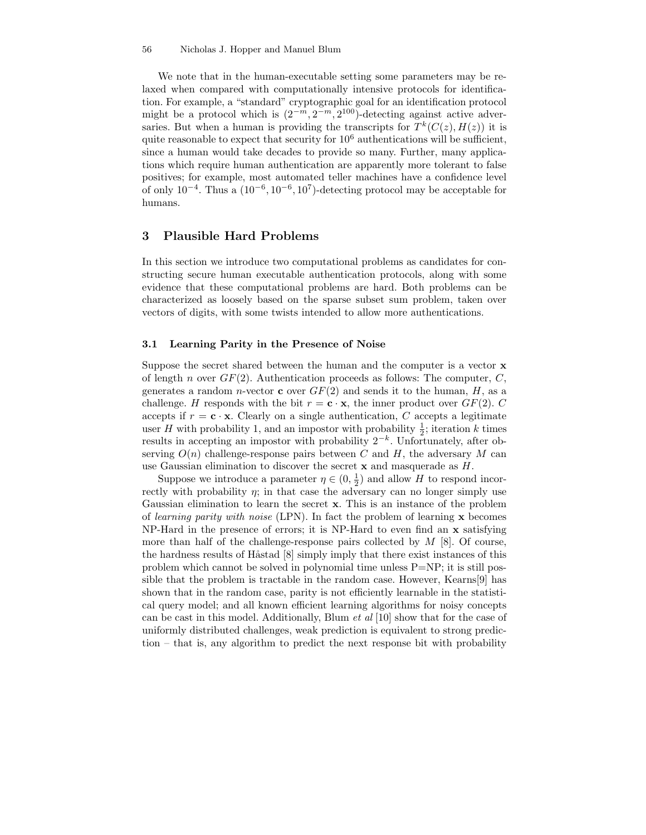#### 56 Nicholas J. Hopper and Manuel Blum

We note that in the human-executable setting some parameters may be relaxed when compared with computationally intensive protocols for identification. For example, a "standard" cryptographic goal for an identification protocol might be a protocol which is  $(2^{-m}, 2^{-m}, 2^{100})$ -detecting against active adversaries. But when a human is providing the transcripts for  $T^k(C(z), H(z))$  it is quite reasonable to expect that security for  $10^6$  authentications will be sufficient, since a human would take decades to provide so many. Further, many applications which require human authentication are apparently more tolerant to false positives; for example, most automated teller machines have a confidence level of only  $10^{-4}$ . Thus a  $(10^{-6}, 10^{-6}, 10^{7})$ -detecting protocol may be acceptable for humans.

## 3 Plausible Hard Problems

In this section we introduce two computational problems as candidates for constructing secure human executable authentication protocols, along with some evidence that these computational problems are hard. Both problems can be characterized as loosely based on the sparse subset sum problem, taken over vectors of digits, with some twists intended to allow more authentications.

#### 3.1 Learning Parity in the Presence of Noise

Suppose the secret shared between the human and the computer is a vector x of length n over  $GF(2)$ . Authentication proceeds as follows: The computer, C, generates a random *n*-vector **c** over  $GF(2)$  and sends it to the human, H, as a challenge. H responds with the bit  $r = c \cdot x$ , the inner product over  $GF(2)$ . C accepts if  $r = c \cdot x$ . Clearly on a single authentication, C accepts a legitimate user H with probability 1, and an impostor with probability  $\frac{1}{2}$ ; iteration k times results in accepting an impostor with probability  $2^{-k}$ . Unfortunately, after observing  $O(n)$  challenge-response pairs between C and H, the adversary M can use Gaussian elimination to discover the secret  $x$  and masquerade as  $H$ .

Suppose we introduce a parameter  $\eta \in (0, \frac{1}{2})$  and allow H to respond incorrectly with probability  $\eta$ ; in that case the adversary can no longer simply use Gaussian elimination to learn the secret x. This is an instance of the problem of learning parity with noise (LPN). In fact the problem of learning  $\bf{x}$  becomes NP-Hard in the presence of errors; it is NP-Hard to even find an x satisfying more than half of the challenge-response pairs collected by  $M$  [8]. Of course, the hardness results of Håstad  $[8]$  simply imply that there exist instances of this problem which cannot be solved in polynomial time unless P=NP; it is still possible that the problem is tractable in the random case. However, Kearns[9] has shown that in the random case, parity is not efficiently learnable in the statistical query model; and all known efficient learning algorithms for noisy concepts can be cast in this model. Additionally, Blum et al [10] show that for the case of uniformly distributed challenges, weak prediction is equivalent to strong prediction – that is, any algorithm to predict the next response bit with probability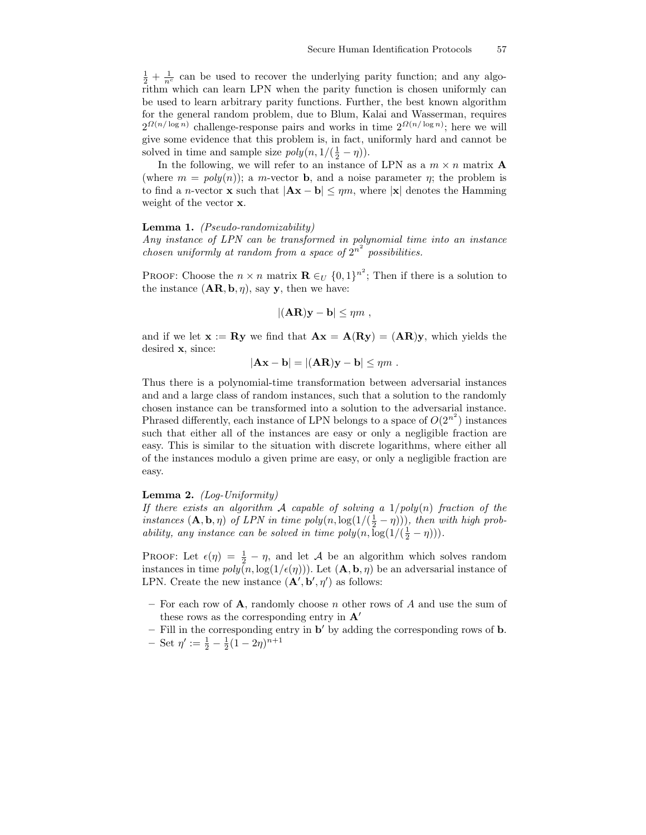$\frac{1}{2} + \frac{1}{n^c}$  can be used to recover the underlying parity function; and any algorithm which can learn LPN when the parity function is chosen uniformly can be used to learn arbitrary parity functions. Further, the best known algorithm for the general random problem, due to Blum, Kalai and Wasserman, requires  $2^{\Omega(n/\log n)}$  challenge-response pairs and works in time  $2^{\Omega(n/\log n)}$ ; here we will give some evidence that this problem is, in fact, uniformly hard and cannot be solved in time and sample size  $poly(n, 1/(\frac{1}{2} - \eta))$ .

In the following, we will refer to an instance of LPN as a  $m \times n$  matrix **A** (where  $m = poly(n)$ ); a m-vector **b**, and a noise parameter  $\eta$ ; the problem is to find a n-vector **x** such that  $|\mathbf{Ax} - \mathbf{b}| \leq \eta m$ , where  $|\mathbf{x}|$  denotes the Hamming weight of the vector x.

#### Lemma 1. (Pseudo-randomizability)

Any instance of LPN can be transformed in polynomial time into an instance chosen uniformly at random from a space of  $2^{n^2}$  possibilities.

PROOF: Choose the  $n \times n$  matrix  $\mathbf{R} \in U$   $\{0,1\}^{n^2}$ ; Then if there is a solution to the instance  $(AR, b, \eta)$ , say y, then we have:

$$
|(\mathbf{AR})\mathbf{y}-\mathbf{b}|\leq \eta m\;,
$$

and if we let  $\mathbf{x} := \mathbf{R} \mathbf{y}$  we find that  $\mathbf{A} \mathbf{x} = \mathbf{A}(\mathbf{R} \mathbf{y}) = (\mathbf{A} \mathbf{R}) \mathbf{y}$ , which yields the desired x, since:

$$
|\mathbf{A}\mathbf{x} - \mathbf{b}| = |(\mathbf{A}\mathbf{R})\mathbf{y} - \mathbf{b}| \le \eta m.
$$

Thus there is a polynomial-time transformation between adversarial instances and and a large class of random instances, such that a solution to the randomly chosen instance can be transformed into a solution to the adversarial instance. Phrased differently, each instance of LPN belongs to a space of  $O(2^{n^2})$  instances such that either all of the instances are easy or only a negligible fraction are easy. This is similar to the situation with discrete logarithms, where either all of the instances modulo a given prime are easy, or only a negligible fraction are easy.

#### **Lemma 2.**  $(Log-Uniformity)$

If there exists an algorithm  $A$  capable of solving a  $1/poly(n)$  fraction of the instances  $(\mathbf{A}, \mathbf{b}, \eta)$  of LPN in time  $poly(n, \log(1/(\frac{1}{2} - \eta)))$ , then with high probability, any instance can be solved in time  $poly(n, \log(1/(\frac{1}{2} - \eta)))$ .

PROOF: Let  $\epsilon(\eta) = \frac{1}{2} - \eta$ , and let A be an algorithm which solves random instances in time  $poly(n, \log(1/\epsilon(\eta)))$ . Let  $(\mathbf{A}, \mathbf{b}, \eta)$  be an adversarial instance of LPN. Create the new instance  $(\mathbf{A}', \mathbf{b}', \eta')$  as follows:

- For each row of  $\bf{A}$ , randomly choose *n* other rows of  $\bf{A}$  and use the sum of these rows as the corresponding entry in  $\mathbf{A}^{\prime}$
- $-$  Fill in the corresponding entry in  $\mathbf{b}'$  by adding the corresponding rows of  $\mathbf{b}$ .  $-$  Set  $\eta' := \frac{1}{2} - \frac{1}{2}(1 - 2\eta)^{n+1}$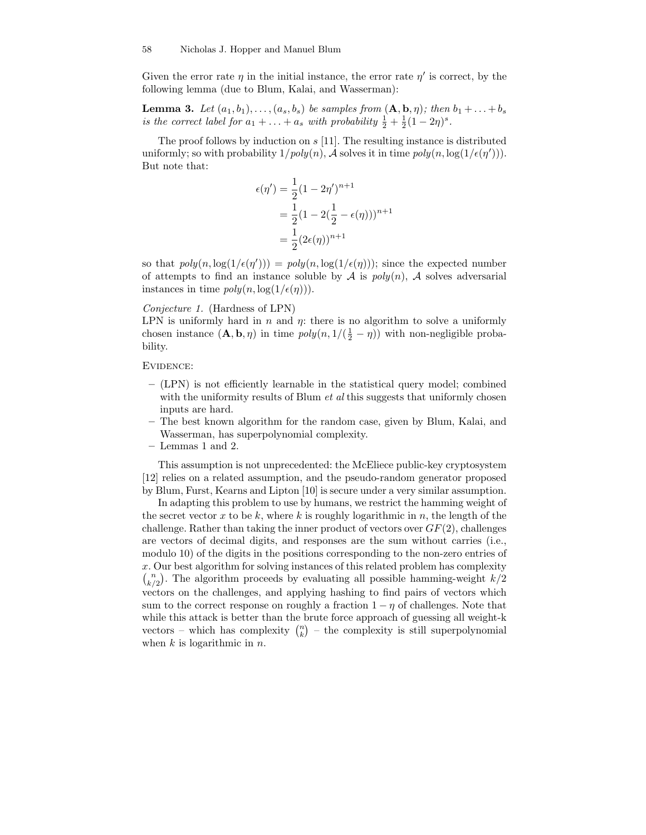Given the error rate  $\eta$  in the initial instance, the error rate  $\eta'$  is correct, by the following lemma (due to Blum, Kalai, and Wasserman):

**Lemma 3.** Let  $(a_1, b_1), \ldots, (a_s, b_s)$  be samples from  $(\mathbf{A}, \mathbf{b}, \eta)$ ; then  $b_1 + \ldots + b_s$ is the correct label for  $a_1 + \ldots + a_s$  with probability  $\frac{1}{2} + \frac{1}{2}(1 - 2\eta)^s$ .

The proof follows by induction on  $s$  [11]. The resulting instance is distributed uniformly; so with probability  $1/poly(n)$ , A solves it in time  $poly(n, \log(1/\epsilon(\eta')))$ . But note that:

$$
\epsilon(\eta') = \frac{1}{2}(1 - 2\eta')^{n+1}
$$
  
= 
$$
\frac{1}{2}(1 - 2(\frac{1}{2} - \epsilon(\eta)))^{n+1}
$$
  
= 
$$
\frac{1}{2}(2\epsilon(\eta))^{n+1}
$$

so that  $poly(n, \log(1/\epsilon(\eta'))) = poly(n, \log(1/\epsilon(\eta)))$ ; since the expected number of attempts to find an instance soluble by A is  $poly(n)$ , A solves adversarial instances in time  $poly(n, \log(1/\epsilon(\eta)))$ .

#### Conjecture 1. (Hardness of LPN)

LPN is uniformly hard in  $n$  and  $\eta$ : there is no algorithm to solve a uniformly chosen instance  $(\mathbf{A}, \mathbf{b}, \eta)$  in time  $poly(n, 1/(\frac{1}{2} - \eta))$  with non-negligible probability.

Evidence:

- (LPN) is not efficiently learnable in the statistical query model; combined with the uniformity results of Blum *et al* this suggests that uniformly chosen inputs are hard.
- The best known algorithm for the random case, given by Blum, Kalai, and Wasserman, has superpolynomial complexity.
- Lemmas 1 and 2.

This assumption is not unprecedented: the McEliece public-key cryptosystem [12] relies on a related assumption, and the pseudo-random generator proposed by Blum, Furst, Kearns and Lipton [10] is secure under a very similar assumption.

In adapting this problem to use by humans, we restrict the hamming weight of the secret vector  $x$  to be  $k$ , where  $k$  is roughly logarithmic in  $n$ , the length of the challenge. Rather than taking the inner product of vectors over  $GF(2)$ , challenges are vectors of decimal digits, and responses are the sum without carries (i.e., modulo 10) of the digits in the positions corresponding to the non-zero entries of x. Our best algorithm for solving instances of this related problem has complexity  $\binom{n}{k/2}$ . The algorithm proceeds by evaluating all possible hamming-weight  $k/2$ vectors on the challenges, and applying hashing to find pairs of vectors which sum to the correct response on roughly a fraction  $1 - \eta$  of challenges. Note that while this attack is better than the brute force approach of guessing all weight-k vectors – which has complexity  $\binom{n}{k}$  – the complexity is still superpolynomial when  $k$  is logarithmic in  $n$ .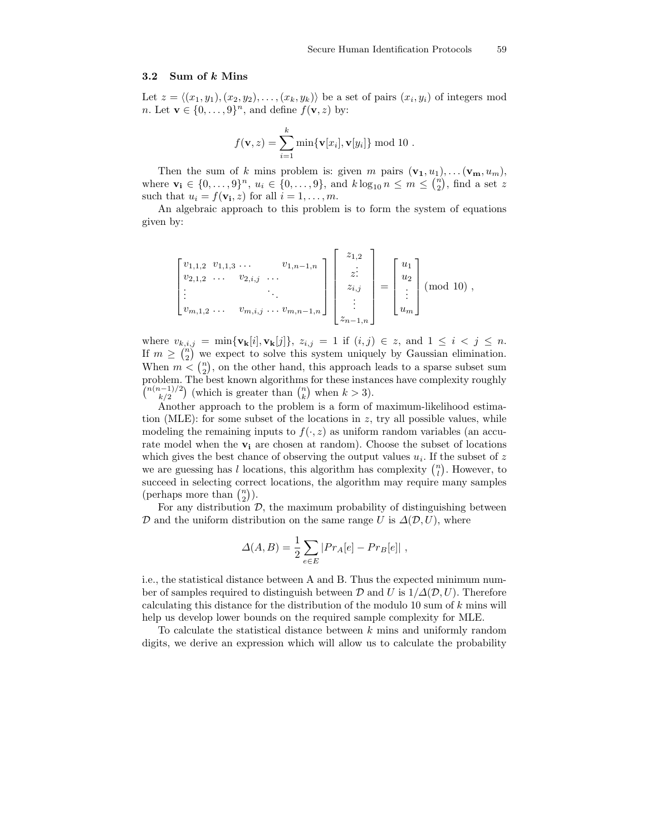### 3.2 Sum of k Mins

Let  $z = \langle (x_1, y_1), (x_2, y_2), \dots, (x_k, y_k) \rangle$  be a set of pairs  $(x_i, y_i)$  of integers mod *n*. Let  $\mathbf{v} \in \{0, \ldots, 9\}^n$ , and define  $f(\mathbf{v}, z)$  by:

$$
f(\mathbf{v},z) = \sum_{i=1}^{k} \min\{\mathbf{v}[x_i], \mathbf{v}[y_i]\} \bmod 10.
$$

Then the sum of k mins problem is: given m pairs  $(\mathbf{v}_1, u_1), \ldots (\mathbf{v}_m, u_m)$ , where  $\mathbf{v_i} \in \{0, ..., 9\}^n$ ,  $u_i \in \{0, ..., 9\}$ , and  $k \log_{10} n \le m \le \binom{n}{2}$ , find a set z such that  $u_i = f(\mathbf{v_i}, z)$  for all  $i = 1, \dots, m$ .

An algebraic approach to this problem is to form the system of equations given by:

$$
\begin{bmatrix} v_{1,1,2} & v_{1,1,3} & \dots & v_{1,n-1,n} \\ v_{2,1,2} & \dots & v_{2,i,j} & \dots \\ \vdots & & & \ddots & \\ v_{m,1,2} & \dots & v_{m,i,j} & \dots & v_{m,n-1,n} \end{bmatrix} \begin{bmatrix} z_{1,2} \\ \vdots \\ z_{i,j} \\ \vdots \\ z_{n-1,n} \end{bmatrix} = \begin{bmatrix} u_1 \\ u_2 \\ \vdots \\ u_m \end{bmatrix} \text{ (mod 10)},
$$

where  $v_{k,i,j} = \min\{v_{k}[i], v_{k}[j]\}, z_{i,j} = 1$  if  $(i,j) \in z$ , and  $1 \leq i < j \leq n$ . If  $m \geq {n \choose 2}$  we expect to solve this system uniquely by Gaussian elimination. When  $m \leq {n \choose 2}$ , on the other hand, this approach leads to a sparse subset sum problem. The best known algorithms for these instances have complexity roughly  $\binom{n(n-1)/2}{k/2}$  (which is greater than  $\binom{n}{k}$  when  $k > 3$ ).

Another approach to the problem is a form of maximum-likelihood estimation (MLE): for some subset of the locations in z, try all possible values, while modeling the remaining inputs to  $f(\cdot, z)$  as uniform random variables (an accurate model when the  $v_i$  are chosen at random). Choose the subset of locations which gives the best chance of observing the output values  $u_i$ . If the subset of z we are guessing has l locations, this algorithm has complexity  $\binom{n}{l}$ . However, to succeed in selecting correct locations, the algorithm may require many samples (perhaps more than  $\binom{n}{2}$ ).

For any distribution  $D$ , the maximum probability of distinguishing between  $\mathcal D$  and the uniform distribution on the same range U is  $\Delta(\mathcal D,U)$ , where

$$
\Delta(A, B) = \frac{1}{2} \sum_{e \in E} |Pr_A[e] - Pr_B[e]|,
$$

i.e., the statistical distance between A and B. Thus the expected minimum number of samples required to distinguish between  $\mathcal D$  and U is  $1/\Delta(\mathcal D,U)$ . Therefore calculating this distance for the distribution of the modulo 10 sum of  $k$  mins will help us develop lower bounds on the required sample complexity for MLE.

To calculate the statistical distance between  $k$  mins and uniformly random digits, we derive an expression which will allow us to calculate the probability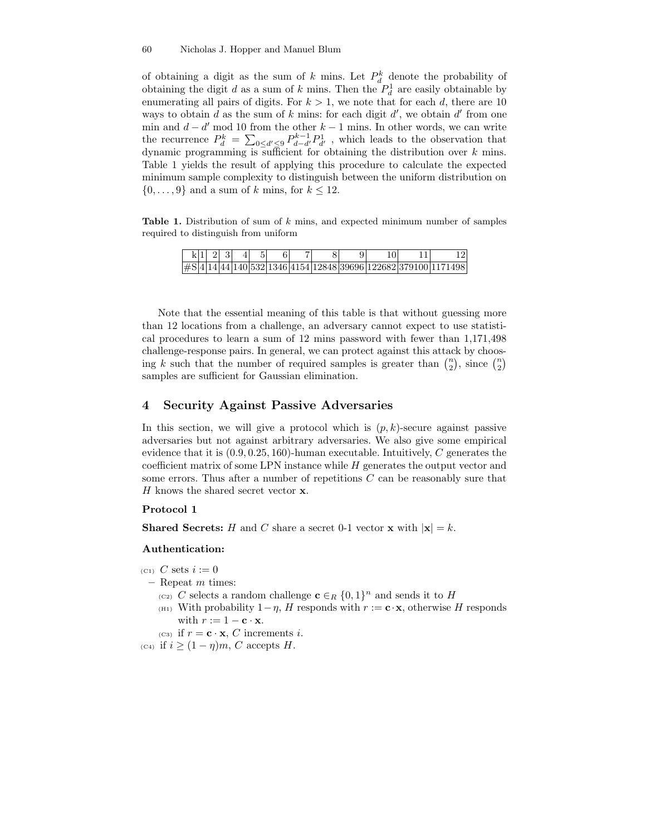#### 60 Nicholas J. Hopper and Manuel Blum

of obtaining a digit as the sum of k mins. Let  $P_d^k$  denote the probability of obtaining the digit  $d$  as a sum of  $k$  mins. Then the  $P_d^1$  are easily obtainable by enumerating all pairs of digits. For  $k > 1$ , we note that for each d, there are 10 ways to obtain  $d$  as the sum of  $k$  mins: for each digit  $d'$ , we obtain  $d'$  from one min and  $d - d'$  mod 10 from the other  $k - 1$  mins. In other words, we can write the recurrence  $P_d^k = \sum_{0 \le d' \le 9} P_{d-d'}^{k-1} P_{d'}^1$ , which leads to the observation that dynamic programming is sufficient for obtaining the distribution over  $k$  mins. Table 1 yields the result of applying this procedure to calculate the expected minimum sample complexity to distinguish between the uniform distribution on  $\{0, \ldots, 9\}$  and a sum of k mins, for  $k \leq 12$ .

Table 1. Distribution of sum of k mins, and expected minimum number of samples required to distinguish from uniform

|  | $k1$   2  3 |  |  |  |  |                                                                |
|--|-------------|--|--|--|--|----------------------------------------------------------------|
|  |             |  |  |  |  | #S 4 14 44 140 532 1346 4154 12848 39696 122682 379100 1171498 |

Note that the essential meaning of this table is that without guessing more than 12 locations from a challenge, an adversary cannot expect to use statistical procedures to learn a sum of 12 mins password with fewer than 1,171,498 challenge-response pairs. In general, we can protect against this attack by choosing k such that the number of required samples is greater than  $\binom{n}{2}$ , since  $\binom{n}{2}$ samples are sufficient for Gaussian elimination.

## 4 Security Against Passive Adversaries

In this section, we will give a protocol which is  $(p, k)$ -secure against passive adversaries but not against arbitrary adversaries. We also give some empirical evidence that it is  $(0.9, 0.25, 160)$ -human executable. Intuitively, C generates the coefficient matrix of some LPN instance while H generates the output vector and some errors. Thus after a number of repetitions C can be reasonably sure that H knows the shared secret vector **x**.

#### Protocol 1

**Shared Secrets:** H and C share a secret 0-1 vector **x** with  $|\mathbf{x}| = k$ .

#### Authentication:

- $(C_1)$  C sets  $i := 0$
- $-$  Repeat m times:
	- (c2) C selects a random challenge  $\mathbf{c} \in_R \{0,1\}^n$  and sends it to H
	- (H1) With probability  $1-\eta$ , H responds with  $r := \mathbf{c} \cdot \mathbf{x}$ , otherwise H responds with  $r := 1 - \mathbf{c} \cdot \mathbf{x}$ .
	- (c3) if  $r = \mathbf{c} \cdot \mathbf{x}$ , C increments *i*.
- (c<sub>4</sub>) if  $i \geq (1 \eta)m$ , C accepts H.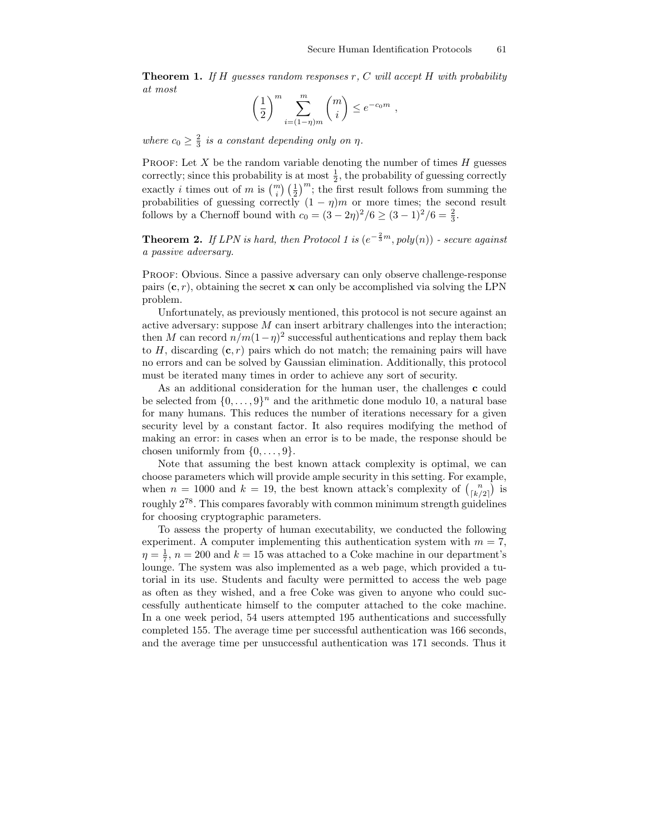**Theorem 1.** If H guesses random responses r, C will accept H with probability at most

$$
\left(\frac{1}{2}\right)^m \sum_{i=(1-\eta)m}^m \binom{m}{i} \leq e^{-c_0m} ,
$$

where  $c_0 \geq \frac{2}{3}$  is a constant depending only on  $\eta$ .

PROOF: Let  $X$  be the random variable denoting the number of times  $H$  guesses correctly; since this probability is at most  $\frac{1}{2}$ , the probability of guessing correctly exactly *i* times out of *m* is  $\binom{m}{i} \left(\frac{1}{2}\right)^m$ ; the first result follows from summing the probabilities of guessing correctly  $(1 - \eta)m$  or more times; the second result follows by a Chernoff bound with  $c_0 = (3 - 2\eta)^2/6 \ge (3 - 1)^2/6 = \frac{2}{3}$ .

**Theorem 2.** If LPN is hard, then Protocol 1 is  $(e^{-\frac{2}{3}m}, poly(n))$  - secure against a passive adversary.

Proof: Obvious. Since a passive adversary can only observe challenge-response pairs  $(c, r)$ , obtaining the secret **x** can only be accomplished via solving the LPN problem.

Unfortunately, as previously mentioned, this protocol is not secure against an active adversary: suppose  $M$  can insert arbitrary challenges into the interaction; then M can record  $n/m(1-\eta)^2$  successful authentications and replay them back to H, discarding  $(c, r)$  pairs which do not match; the remaining pairs will have no errors and can be solved by Gaussian elimination. Additionally, this protocol must be iterated many times in order to achieve any sort of security.

As an additional consideration for the human user, the challenges c could be selected from  $\{0, \ldots, 9\}^n$  and the arithmetic done modulo 10, a natural base for many humans. This reduces the number of iterations necessary for a given security level by a constant factor. It also requires modifying the method of making an error: in cases when an error is to be made, the response should be chosen uniformly from  $\{0, \ldots, 9\}$ .

Note that assuming the best known attack complexity is optimal, we can choose parameters which will provide ample security in this setting. For example, when  $n = 1000$  and  $k = 19$ , the best known attack's complexity of  $\binom{n}{\lfloor k/2 \rfloor}$  is roughly  $2^{78}$ . This compares favorably with common minimum strength guidelines for choosing cryptographic parameters.

To assess the property of human executability, we conducted the following experiment. A computer implementing this authentication system with  $m = 7$ ,  $\eta = \frac{1}{7}$ ,  $n = 200$  and  $k = 15$  was attached to a Coke machine in our department's lounge. The system was also implemented as a web page, which provided a tutorial in its use. Students and faculty were permitted to access the web page as often as they wished, and a free Coke was given to anyone who could successfully authenticate himself to the computer attached to the coke machine. In a one week period, 54 users attempted 195 authentications and successfully completed 155. The average time per successful authentication was 166 seconds, and the average time per unsuccessful authentication was 171 seconds. Thus it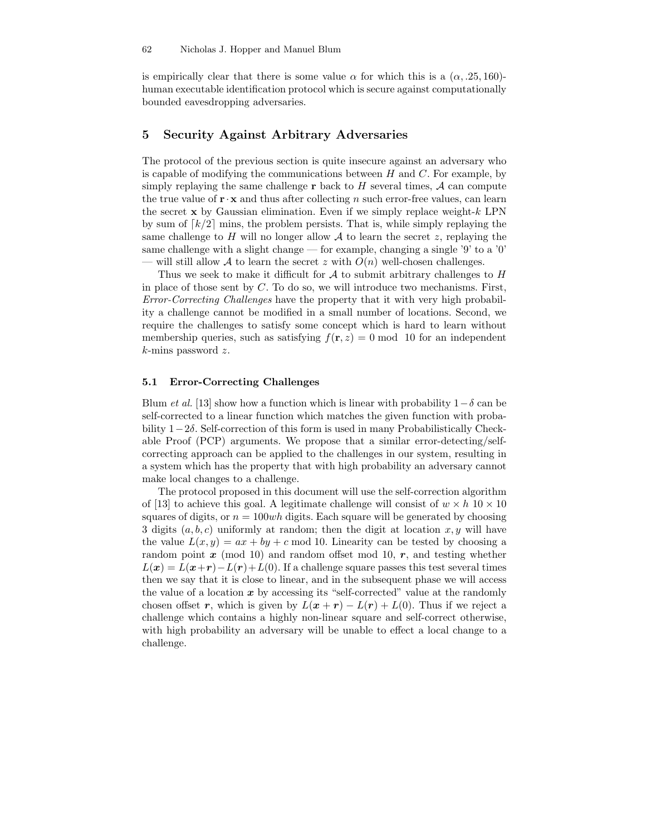is empirically clear that there is some value  $\alpha$  for which this is a  $(\alpha, .25, 160)$ human executable identification protocol which is secure against computationally bounded eavesdropping adversaries.

### 5 Security Against Arbitrary Adversaries

The protocol of the previous section is quite insecure against an adversary who is capable of modifying the communications between  $H$  and  $C$ . For example, by simply replaying the same challenge  $\bf{r}$  back to  $\bf{H}$  several times,  $\bf{\cal{A}}$  can compute the true value of  $\mathbf{r} \cdot \mathbf{x}$  and thus after collecting n such error-free values, can learn the secret  $x$  by Gaussian elimination. Even if we simply replace weight- $k$  LPN by sum of  $\lceil k/2 \rceil$  mins, the problem persists. That is, while simply replaying the same challenge to H will no longer allow  $A$  to learn the secret z, replaying the same challenge with a slight change — for example, changing a single  $'9'$  to a  $'0'$ — will still allow A to learn the secret z with  $O(n)$  well-chosen challenges.

Thus we seek to make it difficult for  $A$  to submit arbitrary challenges to  $H$ in place of those sent by  $C$ . To do so, we will introduce two mechanisms. First, Error-Correcting Challenges have the property that it with very high probability a challenge cannot be modified in a small number of locations. Second, we require the challenges to satisfy some concept which is hard to learn without membership queries, such as satisfying  $f(\mathbf{r}, z) = 0 \text{ mod } 10$  for an independent  $k$ -mins password z.

### 5.1 Error-Correcting Challenges

Blum et al. [13] show how a function which is linear with probability  $1-\delta$  can be self-corrected to a linear function which matches the given function with probability 1−2δ. Self-correction of this form is used in many Probabilistically Checkable Proof (PCP) arguments. We propose that a similar error-detecting/selfcorrecting approach can be applied to the challenges in our system, resulting in a system which has the property that with high probability an adversary cannot make local changes to a challenge.

The protocol proposed in this document will use the self-correction algorithm of [13] to achieve this goal. A legitimate challenge will consist of  $w \times h$  10  $\times$  10 squares of digits, or  $n = 100wh$  digits. Each square will be generated by choosing 3 digits  $(a, b, c)$  uniformly at random; then the digit at location x, y will have the value  $L(x, y) = ax + by + c \mod 10$ . Linearity can be tested by choosing a random point  $x \pmod{10}$  and random offset mod 10,  $r$ , and testing whether  $L(x) = L(x+r) - L(r) + L(0)$ . If a challenge square passes this test several times then we say that it is close to linear, and in the subsequent phase we will access the value of a location  $x$  by accessing its "self-corrected" value at the randomly chosen offset r, which is given by  $L(x + r) - L(r) + L(0)$ . Thus if we reject a challenge which contains a highly non-linear square and self-correct otherwise, with high probability an adversary will be unable to effect a local change to a challenge.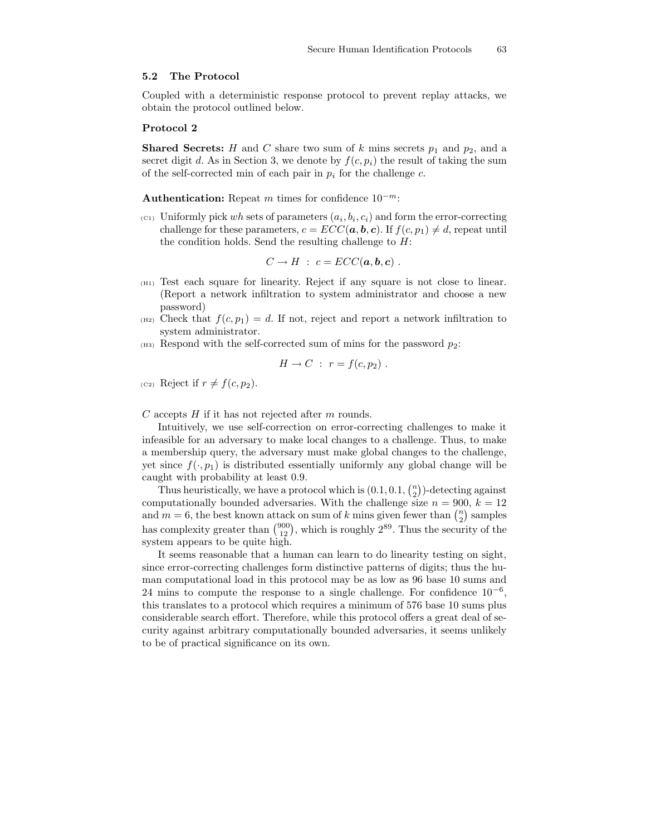#### 5.2 The Protocol

Coupled with a deterministic response protocol to prevent replay attacks, we obtain the protocol outlined below.

### Protocol 2

**Shared Secrets:** H and C share two sum of k mins secrets  $p_1$  and  $p_2$ , and a secret digit d. As in Section 3, we denote by  $f(c, p_i)$  the result of taking the sum of the self-corrected min of each pair in  $p_i$  for the challenge c.

Authentication: Repeat m times for confidence  $10^{-m}$ :

 $(c_1)$  Uniformly pick wh sets of parameters  $(a_i, b_i, c_i)$  and form the error-correcting challenge for these parameters,  $c = ECC(a, b, c)$ . If  $f(c, p_1) \neq d$ , repeat until the condition holds. Send the resulting challenge to  $H$ :

$$
C \to H : c = ECC(a, b, c) .
$$

- $(H_1)$  Test each square for linearity. Reject if any square is not close to linear. (Report a network infiltration to system administrator and choose a new password)
- $_{(H2)}$  Check that  $f(c, p_1) = d$ . If not, reject and report a network infiltration to system administrator.
- $_{(H3)}$  Respond with the self-corrected sum of mins for the password  $p_2$ :

$$
H \to C : r = f(c, p_2) .
$$

(c<sub>2</sub>) Reject if  $r \neq f(c, p_2)$ .

C accepts  $H$  if it has not rejected after  $m$  rounds.

Intuitively, we use self-correction on error-correcting challenges to make it infeasible for an adversary to make local changes to a challenge. Thus, to make a membership query, the adversary must make global changes to the challenge, yet since  $f(\cdot, p_1)$  is distributed essentially uniformly any global change will be caught with probability at least 0.9.

Thus heuristically, we have a protocol which is  $(0.1, 0.1, \binom{n}{2})$ -detecting against computationally bounded adversaries. With the challenge size  $n = 900, k = 12$ and  $m = 6$ , the best known attack on sum of k mins given fewer than  $\binom{n}{2}$  samples has complexity greater than  $\binom{900}{12}$ , which is roughly  $2^{89}$ . Thus the security of the system appears to be quite high.

It seems reasonable that a human can learn to do linearity testing on sight, since error-correcting challenges form distinctive patterns of digits; thus the human computational load in this protocol may be as low as 96 base 10 sums and 24 mins to compute the response to a single challenge. For confidence  $10^{-6}$ , this translates to a protocol which requires a minimum of 576 base 10 sums plus considerable search effort. Therefore, while this protocol offers a great deal of security against arbitrary computationally bounded adversaries, it seems unlikely to be of practical significance on its own.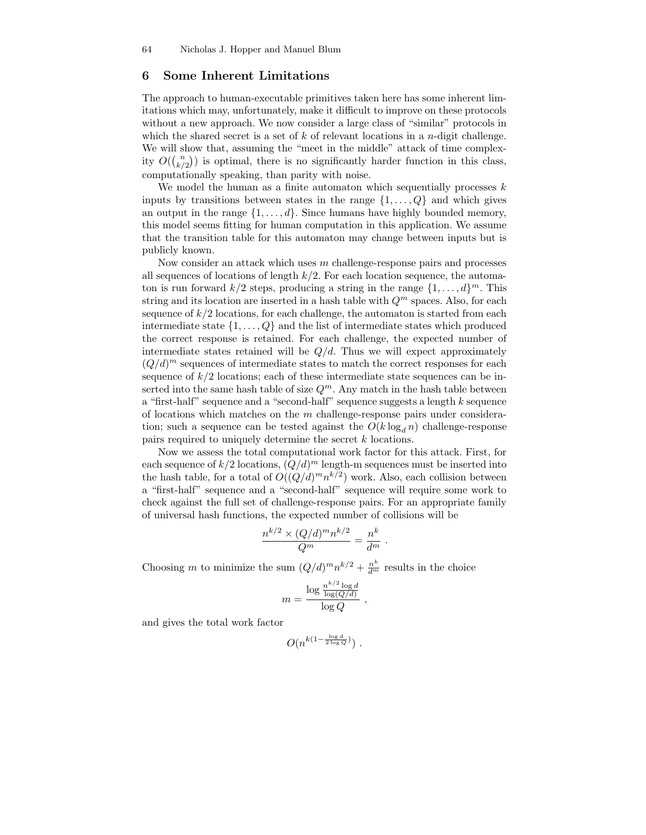# 6 Some Inherent Limitations

The approach to human-executable primitives taken here has some inherent limitations which may, unfortunately, make it difficult to improve on these protocols without a new approach. We now consider a large class of "similar" protocols in which the shared secret is a set of  $k$  of relevant locations in a *n*-digit challenge. We will show that, assuming the "meet in the middle" attack of time complexity  $O({n \choose k/2})$  is optimal, there is no significantly harder function in this class, computationally speaking, than parity with noise.

We model the human as a finite automaton which sequentially processes  $k$ inputs by transitions between states in the range  $\{1, \ldots, Q\}$  and which gives an output in the range  $\{1, \ldots, d\}$ . Since humans have highly bounded memory, this model seems fitting for human computation in this application. We assume that the transition table for this automaton may change between inputs but is publicly known.

Now consider an attack which uses m challenge-response pairs and processes all sequences of locations of length  $k/2$ . For each location sequence, the automaton is run forward  $k/2$  steps, producing a string in the range  $\{1, \ldots, d\}^m$ . This string and its location are inserted in a hash table with  $Q<sup>m</sup>$  spaces. Also, for each sequence of  $k/2$  locations, for each challenge, the automaton is started from each intermediate state  $\{1, \ldots, Q\}$  and the list of intermediate states which produced the correct response is retained. For each challenge, the expected number of intermediate states retained will be  $Q/d$ . Thus we will expect approximately  $(Q/d)^m$  sequences of intermediate states to match the correct responses for each sequence of  $k/2$  locations; each of these intermediate state sequences can be inserted into the same hash table of size  $Q^m$ . Any match in the hash table between a "first-half" sequence and a "second-half" sequence suggests a length k sequence of locations which matches on the  $m$  challenge-response pairs under consideration; such a sequence can be tested against the  $O(k \log_d n)$  challenge-response pairs required to uniquely determine the secret k locations.

Now we assess the total computational work factor for this attack. First, for each sequence of  $k/2$  locations,  $(Q/d)^m$  length-m sequences must be inserted into the hash table, for a total of  $O((Q/d)^m n^{k/2})$  work. Also, each collision between a "first-half" sequence and a "second-half" sequence will require some work to check against the full set of challenge-response pairs. For an appropriate family of universal hash functions, the expected number of collisions will be

$$
\frac{n^{k/2} \times (Q/d)^m n^{k/2}}{Q^m} = \frac{n^k}{d^m}
$$

.

Choosing m to minimize the sum  $(Q/d)^m n^{k/2} + \frac{n^k}{d^m}$  results in the choice

$$
m = \frac{\log \frac{n^{k/2} \log d}{\log(Q/d)}}{\log Q} ,
$$

and gives the total work factor

$$
O(n^{k(1-\frac{\log d}{2\log Q})})\;.
$$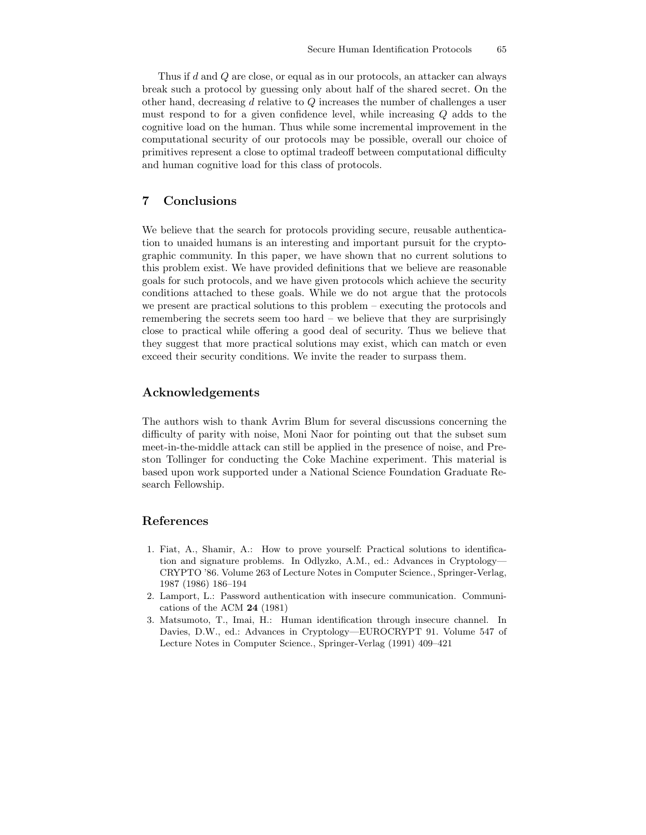Thus if d and Q are close, or equal as in our protocols, an attacker can always break such a protocol by guessing only about half of the shared secret. On the other hand, decreasing d relative to Q increases the number of challenges a user must respond to for a given confidence level, while increasing Q adds to the cognitive load on the human. Thus while some incremental improvement in the computational security of our protocols may be possible, overall our choice of primitives represent a close to optimal tradeoff between computational difficulty and human cognitive load for this class of protocols.

# 7 Conclusions

We believe that the search for protocols providing secure, reusable authentication to unaided humans is an interesting and important pursuit for the cryptographic community. In this paper, we have shown that no current solutions to this problem exist. We have provided definitions that we believe are reasonable goals for such protocols, and we have given protocols which achieve the security conditions attached to these goals. While we do not argue that the protocols we present are practical solutions to this problem – executing the protocols and remembering the secrets seem too hard – we believe that they are surprisingly close to practical while offering a good deal of security. Thus we believe that they suggest that more practical solutions may exist, which can match or even exceed their security conditions. We invite the reader to surpass them.

## Acknowledgements

The authors wish to thank Avrim Blum for several discussions concerning the difficulty of parity with noise, Moni Naor for pointing out that the subset sum meet-in-the-middle attack can still be applied in the presence of noise, and Preston Tollinger for conducting the Coke Machine experiment. This material is based upon work supported under a National Science Foundation Graduate Research Fellowship.

# References

- 1. Fiat, A., Shamir, A.: How to prove yourself: Practical solutions to identification and signature problems. In Odlyzko, A.M., ed.: Advances in Cryptology— CRYPTO '86. Volume 263 of Lecture Notes in Computer Science., Springer-Verlag, 1987 (1986) 186–194
- 2. Lamport, L.: Password authentication with insecure communication. Communications of the ACM 24 (1981)
- 3. Matsumoto, T., Imai, H.: Human identification through insecure channel. In Davies, D.W., ed.: Advances in Cryptology—EUROCRYPT 91. Volume 547 of Lecture Notes in Computer Science., Springer-Verlag (1991) 409–421